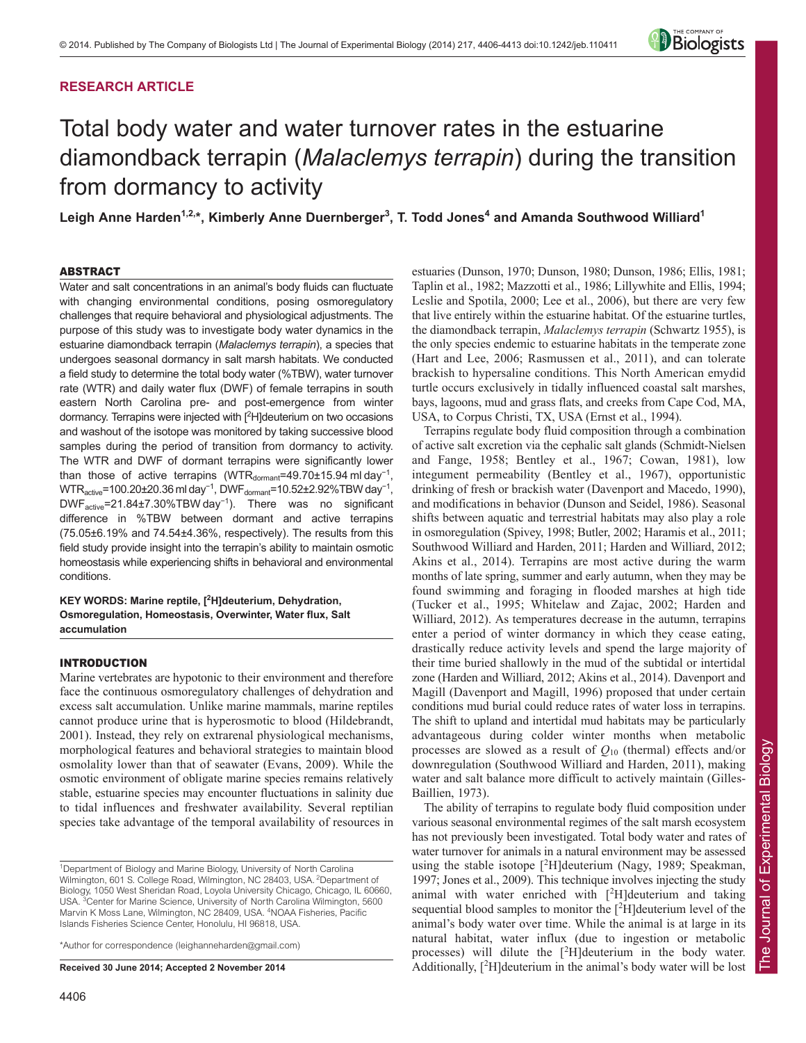# **RESEARCH ARTICLE**



# Total body water and water turnover rates in the estuarine diamondback terrapin (*Malaclemys terrapin*) during the transition from dormancy to activity

**Leigh Anne Harden1,2,\*, Kimberly Anne Duernberger3 , T. Todd Jones4 and Amanda Southwood Williard1**

# ABSTRACT

Water and salt concentrations in an animal's body fluids can fluctuate with changing environmental conditions, posing osmoregulatory challenges that require behavioral and physiological adjustments. The purpose of this study was to investigate body water dynamics in the estuarine diamondback terrapin (*Malaclemys terrapin*), a species that undergoes seasonal dormancy in salt marsh habitats. We conducted a field study to determine the total body water (%TBW), water turnover rate (WTR) and daily water flux (DWF) of female terrapins in south eastern North Carolina pre- and post-emergence from winter dormancy. Terrapins were injected with [<sup>2</sup>H]deuterium on two occasions and washout of the isotope was monitored by taking successive blood samples during the period of transition from dormancy to activity. The WTR and DWF of dormant terrapins were significantly lower than those of active terrapins (WTR<sub>dormant</sub>=49.70±15.94 ml day<sup>-1</sup>, WTR $_{\rm active}$ =100.20±20.36 ml day $^{-1}$ , DWF $_{\rm domain}$ =10.52±2.92%TBW day $^{-1}$ , DWFactive=21.84±7.30%TBW day<sup>−</sup><sup>1</sup> ). There was no significant difference in %TBW between dormant and active terrapins (75.05±6.19% and 74.54±4.36%, respectively). The results from this field study provide insight into the terrapin's ability to maintain osmotic homeostasis while experiencing shifts in behavioral and environmental conditions.

**KEY WORDS: Marine reptile, [2 H]deuterium, Dehydration, Osmoregulation, Homeostasis, Overwinter, Water flux, Salt accumulation**

# INTRODUCTION

Marine vertebrates are hypotonic to their environment and therefore face the continuous osmoregulatory challenges of dehydration and excess salt accumulation. Unlike marine mammals, marine reptiles cannot produce urine that is hyperosmotic to blood (Hildebrandt, 2001). Instead, they rely on extrarenal physiological mechanisms, morphological features and behavioral strategies to maintain blood osmolality lower than that of seawater (Evans, 2009). While the osmotic environment of obligate marine species remains relatively stable, estuarine species may encounter fluctuations in salinity due to tidal influences and freshwater availability. Several reptilian species take advantage of the temporal availability of resources in

\*Author for correspondence (leighanneharden@gmail.com)

**Received 30 June 2014; Accepted 2 November 2014**

estuaries (Dunson, 1970; Dunson, 1980; Dunson, 1986; Ellis, 1981; Taplin et al., 1982; Mazzotti et al., 1986; Lillywhite and Ellis, 1994; Leslie and Spotila, 2000; Lee et al., 2006), but there are very few that live entirely within the estuarine habitat. Of the estuarine turtles, the diamondback terrapin, *Malaclemys terrapin* (Schwartz 1955), is the only species endemic to estuarine habitats in the temperate zone (Hart and Lee, 2006; Rasmussen et al., 2011), and can tolerate brackish to hypersaline conditions. This North American emydid turtle occurs exclusively in tidally influenced coastal salt marshes, bays, lagoons, mud and grass flats, and creeks from Cape Cod, MA, USA, to Corpus Christi, TX, USA (Ernst et al., 1994).

Terrapins regulate body fluid composition through a combination of active salt excretion via the cephalic salt glands (Schmidt-Nielsen and Fange, 1958; Bentley et al., 1967; Cowan, 1981), low integument permeability (Bentley et al., 1967), opportunistic drinking of fresh or brackish water (Davenport and Macedo, 1990), and modifications in behavior (Dunson and Seidel, 1986). Seasonal shifts between aquatic and terrestrial habitats may also play a role in osmoregulation (Spivey, 1998; Butler, 2002; Haramis et al., 2011; Southwood Williard and Harden, 2011; Harden and Williard, 2012; Akins et al., 2014). Terrapins are most active during the warm months of late spring, summer and early autumn, when they may be found swimming and foraging in flooded marshes at high tide (Tucker et al., 1995; Whitelaw and Zajac, 2002; Harden and Williard, 2012). As temperatures decrease in the autumn, terrapins enter a period of winter dormancy in which they cease eating, drastically reduce activity levels and spend the large majority of their time buried shallowly in the mud of the subtidal or intertidal zone (Harden and Williard, 2012; Akins et al., 2014). Davenport and Magill (Davenport and Magill, 1996) proposed that under certain conditions mud burial could reduce rates of water loss in terrapins. The shift to upland and intertidal mud habitats may be particularly advantageous during colder winter months when metabolic processes are slowed as a result of *Q*<sup>10</sup> (thermal) effects and/or downregulation (Southwood Williard and Harden, 2011), making water and salt balance more difficult to actively maintain (Gilles-Baillien, 1973).

The ability of terrapins to regulate body fluid composition under various seasonal environmental regimes of the salt marsh ecosystem has not previously been investigated. Total body water and rates of water turnover for animals in a natural environment may be assessed using the stable isotope [<sup>2</sup>H]deuterium (Nagy, 1989; Speakman, 1997; Jones et al., 2009). This technique involves injecting the study animal with water enriched with  $[^2H]$ deuterium and taking sequential blood samples to monitor the [<sup>2</sup>H] deuterium level of the animal's body water over time. While the animal is at large in its natural habitat, water influx (due to ingestion or metabolic processes) will dilute the [<sup>2</sup>H]deuterium in the body water. Additionally,  $[{}^{2}H]$ deuterium in the animal's body water will be lost

<sup>&</sup>lt;sup>1</sup>Department of Biology and Marine Biology, University of North Carolina Wilmington, 601 S. College Road, Wilmington, NC 28403, USA. <sup>2</sup>Department of Biology, 1050 West Sheridan Road, Loyola University Chicago, Chicago, IL 60660, USA. <sup>3</sup> Center for Marine Science, University of North Carolina Wilmington, 5600 Marvin K Moss Lane, Wilmington, NC 28409, USA. <sup>4</sup>NOAA Fisheries, Pacific Islands Fisheries Science Center, Honolulu, HI 96818, USA.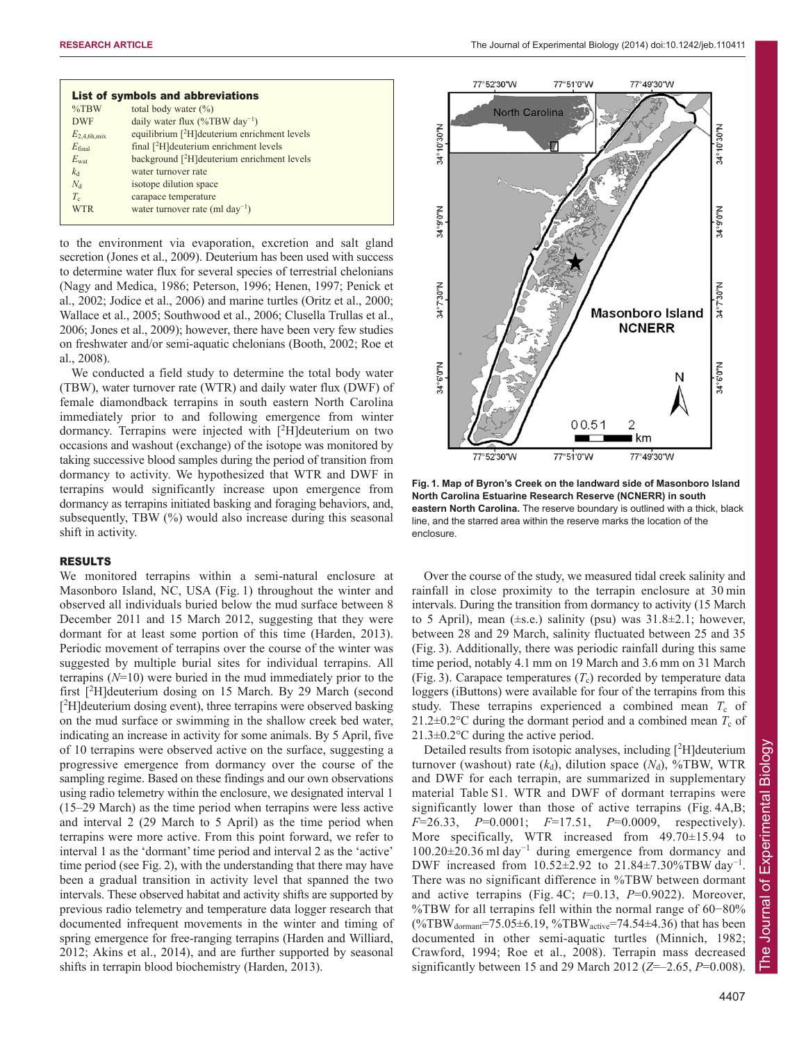|                  | List of symbols and abbreviations                         |
|------------------|-----------------------------------------------------------|
| $\%$ TBW         | total body water $(\% )$                                  |
| <b>DWF</b>       | daily water flux $(\%TBW \, \text{day}^{-1})$             |
| $E_{2.4.6h,mix}$ | equilibrium [ <sup>2</sup> H] deuterium enrichment levels |
| $E_{final}$      | final $[{}^{2}H]$ deuterium enrichment levels             |
| $E_{\text{wat}}$ | background [ <sup>2</sup> H] deuterium enrichment levels  |
| k <sub>d</sub>   | water turnover rate                                       |
| $N_{d}$          | isotope dilution space                                    |
| $T_c$            | carapace temperature                                      |
| <b>WTR</b>       | water turnover rate (ml $day^{-1}$ )                      |

to the environment via evaporation, excretion and salt gland secretion (Jones et al., 2009). Deuterium has been used with success to determine water flux for several species of terrestrial chelonians (Nagy and Medica, 1986; Peterson, 1996; Henen, 1997; Penick et al., 2002; Jodice et al., 2006) and marine turtles (Oritz et al., 2000; Wallace et al., 2005; Southwood et al., 2006; Clusella Trullas et al., 2006; Jones et al., 2009); however, there have been very few studies on freshwater and/or semi-aquatic chelonians (Booth, 2002; Roe et al., 2008).

We conducted a field study to determine the total body water (TBW), water turnover rate (WTR) and daily water flux (DWF) of female diamondback terrapins in south eastern North Carolina immediately prior to and following emergence from winter dormancy. Terrapins were injected with [<sup>2</sup>H]deuterium on two occasions and washout (exchange) of the isotope was monitored by taking successive blood samples during the period of transition from dormancy to activity. We hypothesized that WTR and DWF in terrapins would significantly increase upon emergence from dormancy as terrapins initiated basking and foraging behaviors, and, subsequently, TBW (%) would also increase during this seasonal shift in activity.

# RESULTS

We monitored terrapins within a semi-natural enclosure at Masonboro Island, NC, USA (Fig. 1) throughout the winter and observed all individuals buried below the mud surface between 8 December 2011 and 15 March 2012, suggesting that they were dormant for at least some portion of this time (Harden, 2013). Periodic movement of terrapins over the course of the winter was suggested by multiple burial sites for individual terrapins. All terrapins (*N*=10) were buried in the mud immediately prior to the first [<sup>2</sup> H]deuterium dosing on 15 March. By 29 March (second [<sup>2</sup>H]deuterium dosing event), three terrapins were observed basking on the mud surface or swimming in the shallow creek bed water, indicating an increase in activity for some animals. By 5 April, five of 10 terrapins were observed active on the surface, suggesting a progressive emergence from dormancy over the course of the sampling regime. Based on these findings and our own observations using radio telemetry within the enclosure, we designated interval 1 (15–29 March) as the time period when terrapins were less active and interval 2 (29 March to 5 April) as the time period when terrapins were more active. From this point forward, we refer to interval 1 as the 'dormant' time period and interval 2 as the 'active' time period (see Fig. 2), with the understanding that there may have been a gradual transition in activity level that spanned the two intervals. These observed habitat and activity shifts are supported by previous radio telemetry and temperature data logger research that documented infrequent movements in the winter and timing of spring emergence for free-ranging terrapins (Harden and Williard, 2012; Akins et al., 2014), and are further supported by seasonal shifts in terrapin blood biochemistry (Harden, 2013).



**Fig. 1. Map of Byron's Creek on the landward side of Masonboro Island North Carolina Estuarine Research Reserve (NCNERR) in south eastern North Carolina.** The reserve boundary is outlined with a thick, black line, and the starred area within the reserve marks the location of the enclosure.

Over the course of the study, we measured tidal creek salinity and rainfall in close proximity to the terrapin enclosure at 30 min intervals. During the transition from dormancy to activity (15 March to 5 April), mean  $(\pm s.e.)$  salinity (psu) was  $31.8\pm2.1$ ; however, between 28 and 29 March, salinity fluctuated between 25 and 35 (Fig. 3). Additionally, there was periodic rainfall during this same time period, notably 4.1 mm on 19 March and 3.6 mm on 31 March (Fig. 3). Carapace temperatures  $(T_c)$  recorded by temperature data loggers (iButtons) were available for four of the terrapins from this study. These terrapins experienced a combined mean  $T_c$  of 21.2 $\pm$ 0.2°C during the dormant period and a combined mean  $T_c$  of 21.3±0.2°C during the active period.

Detailed results from isotopic analyses, including  $[{}^{2}H]$ deuterium turnover (washout) rate  $(k_d)$ , dilution space  $(N_d)$ , %TBW, WTR and DWF for each terrapin, are summarized in supplementary material Table S1. WTR and DWF of dormant terrapins were significantly lower than those of active terrapins (Fig. 4A,B; *F*=26.33, *P*=0.0001; *F*=17.51, *P*=0.0009, respectively). More specifically, WTR increased from 49.70±15.94 to 100.20±20.36 ml day<sup>−</sup><sup>1</sup> during emergence from dormancy and DWF increased from 10.52±2.92 to 21.84±7.30%TBW day<sup>−</sup><sup>1</sup> . There was no significant difference in %TBW between dormant and active terrapins (Fig. 4C; *t*=0.13, *P*=0.9022). Moreover, %TBW for all terrapins fell within the normal range of 60−80%  $(\%TBW_{\text{dormant}}=75.05\pm6.19, \%TBW_{\text{active}}=74.54\pm4.36)$  that has been documented in other semi-aquatic turtles (Minnich, 1982; Crawford, 1994; Roe et al., 2008). Terrapin mass decreased significantly between 15 and 29 March 2012 (*Z*=–2.65, *P*=0.008).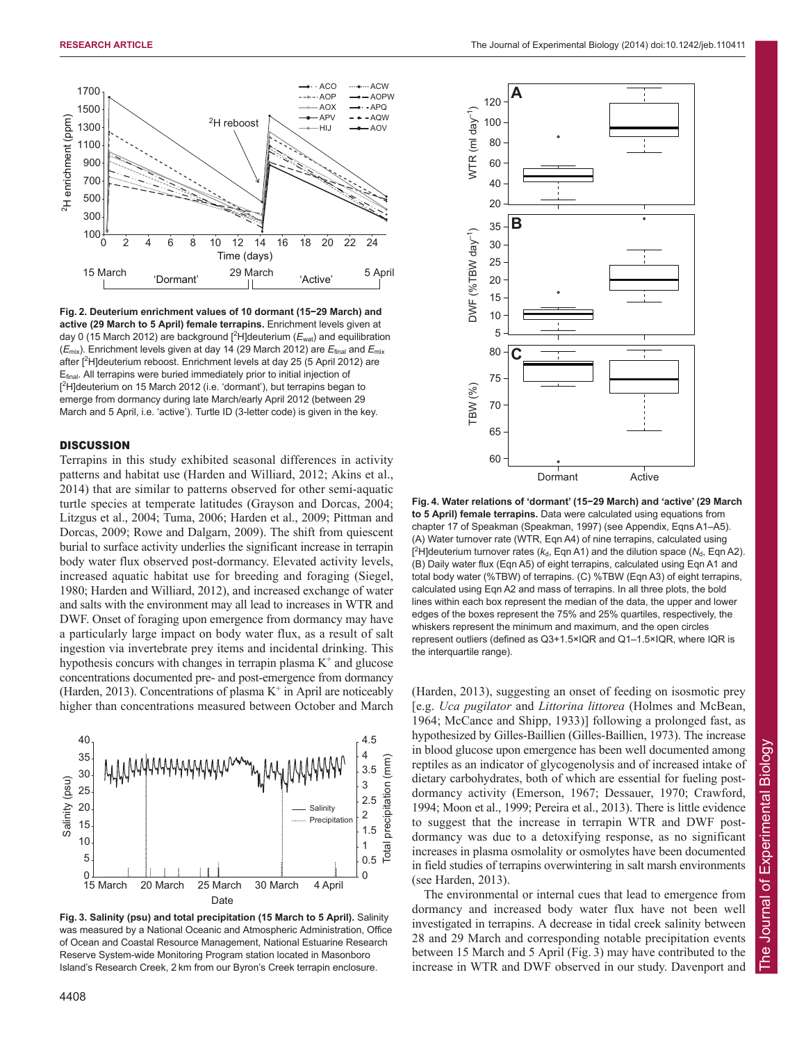

**Fig. 2. Deuterium enrichment values of 10 dormant (15−29 March) and active (29 March to 5 April) female terrapins.** Enrichment levels given at day 0 (15 March 2012) are background [<sup>2</sup>H]deuterium ( $E<sub>wat</sub>$ ) and equilibration (*E*mix). Enrichment levels given at day 14 (29 March 2012) are *E*final and *E*mix after [2 H]deuterium reboost. Enrichment levels at day 25 (5 April 2012) are Efinal. All terrapins were buried immediately prior to initial injection of [<sup>2</sup>H]deuterium on 15 March 2012 (i.e. 'dormant'), but terrapins began to emerge from dormancy during late March/early April 2012 (between 29 March and 5 April, i.e. 'active'). Turtle ID (3-letter code) is given in the key.

## **DISCUSSION**

Terrapins in this study exhibited seasonal differences in activity patterns and habitat use (Harden and Williard, 2012; Akins et al., 2014) that are similar to patterns observed for other semi-aquatic turtle species at temperate latitudes (Grayson and Dorcas, 2004; Litzgus et al., 2004; Tuma, 2006; Harden et al., 2009; Pittman and Dorcas, 2009; Rowe and Dalgarn, 2009). The shift from quiescent burial to surface activity underlies the significant increase in terrapin body water flux observed post-dormancy. Elevated activity levels, increased aquatic habitat use for breeding and foraging (Siegel, 1980; Harden and Williard, 2012), and increased exchange of water and salts with the environment may all lead to increases in WTR and DWF. Onset of foraging upon emergence from dormancy may have a particularly large impact on body water flux, as a result of salt ingestion via invertebrate prey items and incidental drinking. This hypothesis concurs with changes in terrapin plasma  $K^+$  and glucose concentrations documented pre- and post-emergence from dormancy (Harden, 2013). Concentrations of plasma  $K^+$  in April are noticeably higher than concentrations measured between October and March



**Fig. 3. Salinity (psu) and total precipitation (15 March to 5 April).** Salinity was measured by a National Oceanic and Atmospheric Administration, Office of Ocean and Coastal Resource Management, National Estuarine Research Reserve System-wide Monitoring Program station located in Masonboro Island's Research Creek, 2 km from our Byron's Creek terrapin enclosure.



**Fig. 4. Water relations of 'dormant' (15−29 March) and 'active' (29 March to 5 April) female terrapins.** Data were calculated using equations from chapter 17 of Speakman (Speakman, 1997) (see Appendix, Eqns A1–A5). (A) Water turnover rate (WTR, Eqn A4) of nine terrapins, calculated using [<sup>2</sup>H]deuterium turnover rates ( $k_d$ , Eqn A1) and the dilution space ( $N_d$ , Eqn A2). (B) Daily water flux (Eqn A5) of eight terrapins, calculated using Eqn A1 and total body water (%TBW) of terrapins. (C) %TBW (Eqn A3) of eight terrapins, calculated using Eqn A2 and mass of terrapins. In all three plots, the bold lines within each box represent the median of the data, the upper and lower edges of the boxes represent the 75% and 25% quartiles, respectively, the whiskers represent the minimum and maximum, and the open circles represent outliers (defined as Q3+1.5×IQR and Q1–1.5×IQR, where IQR is the interquartile range).

(Harden, 2013), suggesting an onset of feeding on isosmotic prey [e.g. *Uca pugilator* and *Littorina littorea* (Holmes and McBean, 1964; McCance and Shipp, 1933)] following a prolonged fast, as hypothesized by Gilles-Baillien (Gilles-Baillien, 1973). The increase in blood glucose upon emergence has been well documented among reptiles as an indicator of glycogenolysis and of increased intake of dietary carbohydrates, both of which are essential for fueling postdormancy activity (Emerson, 1967; Dessauer, 1970; Crawford, 1994; Moon et al., 1999; Pereira et al., 2013). There is little evidence to suggest that the increase in terrapin WTR and DWF postdormancy was due to a detoxifying response, as no significant increases in plasma osmolality or osmolytes have been documented in field studies of terrapins overwintering in salt marsh environments (see Harden, 2013).

The environmental or internal cues that lead to emergence from dormancy and increased body water flux have not been well investigated in terrapins. A decrease in tidal creek salinity between 28 and 29 March and corresponding notable precipitation events between 15 March and 5 April (Fig. 3) may have contributed to the increase in WTR and DWF observed in our study. Davenport and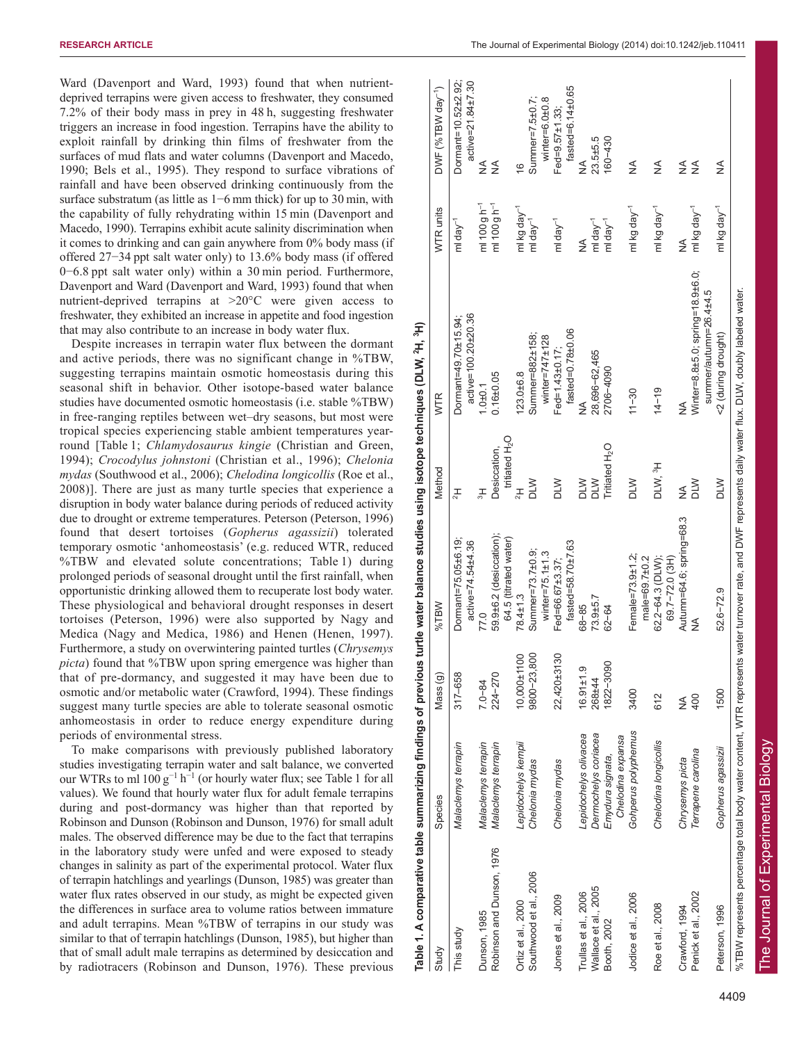Ward (Davenport and Ward, 1993) found that when nutrientdeprived terrapins were given access to freshwater, they consumed 7.2% of their body mass in prey in 48 h, suggesting freshwater triggers an increase in food ingestion. Terrapins have the ability to exploit rainfall by drinking thin films of freshwater from the surfaces of mud flats and water columns (Davenport and Macedo, 1990; Bels et al., 1995). They respond to surface vibrations of rainfall and have been observed drinking continuously from the surface substratum (as little as 1–6 mm thick) for up to 30 min, with the capability of fully rehydrating within 15 min (Davenport and Macedo, 1990). Terrapins exhibit acute salinity discrimination when it comes to drinking and can gain anywhere from 0% body mass (if offered 27−34 ppt salt water only) to 13.6% body mass (if offered 0−6.8 ppt salt water only) within a 30 min period. Furthermore, Davenport and Ward (Davenport and Ward, 1993) found that when nutrient-deprived terrapins at >20°C were given access to freshwater, they exhibited an increase in appetite and food ingestion that may also contribute to an increase in body water flux.

Despite increases in terrapin water flux between the dormant and active periods, there was no significant change in %TBW, suggesting terrapins maintain osmotic homeostasis during this seasonal shift in behavior. Other isotope-based water balance studies have documented osmotic homeostasis (i.e. stable %TBW) in free-ranging reptiles between wet–dry seasons, but most were tropical species experiencing stable ambient temperatures yearround [Table 1; *Chlamydosaurus kingie* (Christian and Green, 1994); *Crocodylus johnstoni* (Christian et al., 1996); *Chelonia mydas* (Southwood et al., 2006); *Chelodina longicollis* (Roe et al., 2008)]. There are just as many turtle species that experience a disruption in body water balance during periods of reduced activity due to drought or extreme temperatures. Peterson (Peterson, 1996) found that desert tortoises (*Gopherus agassizii*) tolerated temporary osmotic 'anhomeostasis' (e.g. reduced WTR, reduced %TBW and elevated solute concentrations; Table 1) during prolonged periods of seasonal drought until the first rainfall, when opportunistic drinking allowed them to recuperate lost body water. These physiological and behavioral drought responses in desert tortoises (Peterson, 1996) were also supported by Nagy and Medica (Nagy and Medica, 1986) and Henen (Henen, 1997). Furthermore, a study on overwintering painted turtles (*Chrysemys picta*) found that %TBW upon spring emergence was higher than that of pre-dormancy, and suggested it may have been due to osmotic and/or metabolic water (Crawford, 1994). These findings suggest many turtle species are able to tolerate seasonal osmotic anhomeostasis in order to reduce energy expenditure during periods of environmental stress.

To make comparisons with previously published laboratory studies investigating terrapin water and salt balance, we converted our WTRs to ml  $100 g^{-1} h^{-1}$  (or hourly water flux; see Table 1 for all values). We found that hourly water flux for adult female terrapins during and post-dormancy was higher than that reported by Robinson and Dunson (Robinson and Dunson, 1976) for small adult males. The observed difference may be due to the fact that terrapins in the laboratory study were unfed and were exposed to steady changes in salinity as part of the experimental protocol. Water flux of terrapin hatchlings and yearlings (Dunson, 1985) was greater than water flux rates observed in our study, as might be expected given the differences in surface area to volume ratios between immature and adult terrapins. Mean %TBW of terrapins in our study was similar to that of terrapin hatchlings (Dunson, 1985), but higher than that of small adult male terrapins as determined by desiccation and by radiotracers (Robinson and Dunson, 1976). These previous

**Table 1. A comparative table summarizing findings of previous turtle water balance studies using isotope techniques (DLW, 2H, 3H)** ē techniques using studies halanra oravio ិ៍ findin marizing ırative table

| Table 1. A comparative table summarizing findings of previous turtle water balance studies using isotope techniques (DLW, <sup>2</sup> H, <sup>3</sup> H) |                       |                    |                                                  |                                            |                                                                                                                                                         |                          |                                          |
|-----------------------------------------------------------------------------------------------------------------------------------------------------------|-----------------------|--------------------|--------------------------------------------------|--------------------------------------------|---------------------------------------------------------------------------------------------------------------------------------------------------------|--------------------------|------------------------------------------|
| Study                                                                                                                                                     | Species               | Mass (g)           | Wal%                                             | Method                                     | <b>WTR</b>                                                                                                                                              | WTR units                | DWF (%TBW day <sup>-1</sup> )            |
| This study                                                                                                                                                | Malaclemys terrapin   | $317 - 658$        | Dormant=75.05±6.19;<br>active=74.54±4.36         | $\pm$                                      | active=100.20±20.36<br>Dormant=49.70±15.94;                                                                                                             | ml da $y^{-1}$           | Dormant=10.52±2.92;<br>active=21.84±7.30 |
| Dunson, 1985                                                                                                                                              | Malaclemys terrapin   | $7.0 - 84$         | 77.0                                             | 보                                          | $1.0 + 0.1$                                                                                                                                             | ml 100 g h <sup>-1</sup> | ≨                                        |
| Robinson and Dunson, 1976                                                                                                                                 | Malaclemys terrapin   | 224-270            | 59.9±6.2 (desiccation);<br>64.5 (titrated water) | tritiated H <sub>2</sub> O<br>Desiccation, | $0.16 + 0.05$                                                                                                                                           | ml 100 g h <sup>-1</sup> | ≨                                        |
| Ortiz et al., 2000                                                                                                                                        | Lepidochelys kempii   | 10,000±1100        | $78.4 \pm 1.3$                                   |                                            | $123.0 + 6.8$                                                                                                                                           | ml kg day <sup>-1</sup>  | $\frac{6}{5}$                            |
| Southwood et al., 2006                                                                                                                                    | Chelonia mydas        | 800<br>$9800 - 23$ | Summer=73.7±0.9;                                 | <b>NTO</b>                                 | Summer=882±158;                                                                                                                                         | ml day $^{-1}$           | Summer=7.5±0.7;                          |
|                                                                                                                                                           |                       |                    | winter=75.1 $\pm$ 1.3                            |                                            | winter=747 $±128$                                                                                                                                       |                          | winter= $6.0\pm0.8$                      |
| Jones et al., 2009                                                                                                                                        | Chelonia mydas        | 22,420±3130        | Fed=66.67±3.37;                                  | DLW                                        | Fed=1.43±0.17;                                                                                                                                          | ml day <sup>-1</sup>     | Fed=9.57 $±1.33$ ;                       |
|                                                                                                                                                           |                       |                    | $fasted = 58.70 \pm 7.63$                        |                                            | $fasted = 0.78 ± 0.06$                                                                                                                                  |                          | $fasted = 6.14 ± 0.65$                   |
| Trullas et al., 2006                                                                                                                                      | Lepidochelys olivacea | $16.91 \pm 1.9$    | 68-85                                            | <b>NTQ</b>                                 | ≸                                                                                                                                                       | ≸                        | ⋚                                        |
| Wallace et al., 2005                                                                                                                                      | Dermochelys coriacea  | 268±44             | 73.9±5.7                                         | MTQ                                        | 28,696-62,465                                                                                                                                           | mlday <sup>-1</sup>      | $23.5 + 5.5$                             |
| Booth, 2002                                                                                                                                               | Emydura signata,      | 1822-3090          | $62 - 64$                                        | Tritiated H <sub>2</sub> O                 | 2706-4090                                                                                                                                               | ml day $\mathbf{r}^1$    | 160-430                                  |
|                                                                                                                                                           | Chelodina expansa     |                    |                                                  |                                            |                                                                                                                                                         |                          |                                          |
| Jodice et al., 2006                                                                                                                                       | Gohperus polyphemus   | 3400               | Female=73.9±1.2;                                 | <b>DLW</b>                                 | $11 - 30$                                                                                                                                               | ml kg day <sup>-1</sup>  | ≸                                        |
|                                                                                                                                                           |                       |                    | $male = 69.7 ± 0.2$                              |                                            |                                                                                                                                                         |                          |                                          |
| Roe et al., 2008                                                                                                                                          | Chelodina longicollis | 612                | 62.2-64.3 (DLW);<br>69.7-72.0 (3H)               | DLW, <sup>3</sup> H                        | $14 - 19$                                                                                                                                               | ml kg day <sup>-1</sup>  | ⋚                                        |
|                                                                                                                                                           |                       |                    |                                                  |                                            |                                                                                                                                                         |                          |                                          |
| Crawford, 1994                                                                                                                                            | Chrysemys picta       | ⋚                  | Autumn=64.6; spring=68.3                         | ≸                                          |                                                                                                                                                         | ≸                        | $\frac{1}{2}$                            |
| Penick et al., 2002                                                                                                                                       | Terrapene carolina    | 400                | $\frac{1}{2}$                                    | <b>NTO</b>                                 | Winter=8.8±5.0; spring=18.9±6.0;<br>summer/autumn=26.4±4.5                                                                                              | ml kg day <sup>-1</sup>  | ≨                                        |
| Peterson, 1996                                                                                                                                            | Gopherus agassizii    | 1500               | 52.6-72.9                                        | <b>NTO</b>                                 | <2 (during drought)                                                                                                                                     | ml kg day <sup>-1</sup>  | ≨                                        |
|                                                                                                                                                           |                       |                    |                                                  |                                            | %TBW represents percentage total body water content, WTR represents water turnover rate, and DWF represents daily water flux. DLW, doubly labeled water |                          |                                          |

4409

The Journal of Experimental Biology

The Journal of Experimental Biology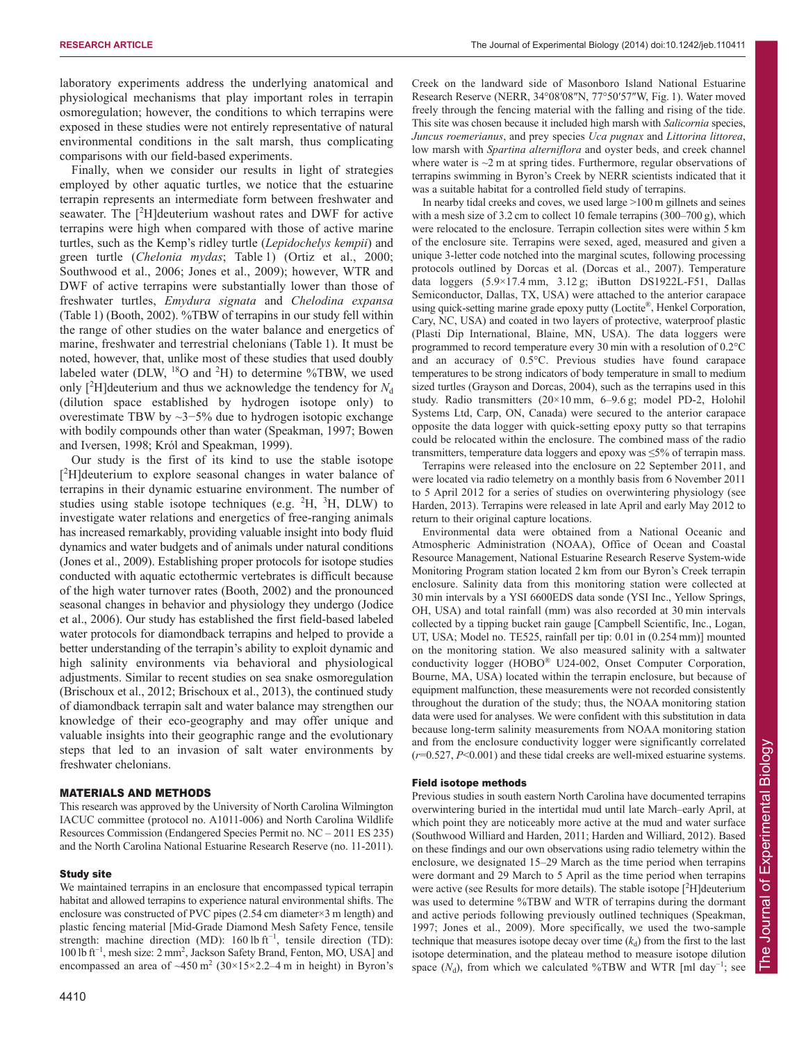laboratory experiments address the underlying anatomical and physiological mechanisms that play important roles in terrapin osmoregulation; however, the conditions to which terrapins were exposed in these studies were not entirely representative of natural environmental conditions in the salt marsh, thus complicating comparisons with our field-based experiments.

Finally, when we consider our results in light of strategies employed by other aquatic turtles, we notice that the estuarine terrapin represents an intermediate form between freshwater and seawater. The [<sup>2</sup>H]deuterium washout rates and DWF for active terrapins were high when compared with those of active marine turtles, such as the Kemp's ridley turtle (*Lepidochelys kempii*) and green turtle (*Chelonia mydas*; Table 1) (Ortiz et al., 2000; Southwood et al., 2006; Jones et al., 2009); however, WTR and DWF of active terrapins were substantially lower than those of freshwater turtles, *Emydura signata* and *Chelodina expansa* (Table 1) (Booth, 2002). %TBW of terrapins in our study fell within the range of other studies on the water balance and energetics of marine, freshwater and terrestrial chelonians (Table 1). It must be noted, however, that, unlike most of these studies that used doubly labeled water (DLW,  $^{18}$ O and  $^{2}$ H) to determine %TBW, we used only  $[^{2}H]$ deuterium and thus we acknowledge the tendency for  $N_{d}$ (dilution space established by hydrogen isotope only) to overestimate TBW by ~3−5% due to hydrogen isotopic exchange with bodily compounds other than water (Speakman, 1997; Bowen and Iversen, 1998; Król and Speakman, 1999).

Our study is the first of its kind to use the stable isotope [<sup>2</sup>H]deuterium to explore seasonal changes in water balance of terrapins in their dynamic estuarine environment. The number of studies using stable isotope techniques (e.g.  ${}^{2}H$ ,  ${}^{3}H$ , DLW) to investigate water relations and energetics of free-ranging animals has increased remarkably, providing valuable insight into body fluid dynamics and water budgets and of animals under natural conditions (Jones et al., 2009). Establishing proper protocols for isotope studies conducted with aquatic ectothermic vertebrates is difficult because of the high water turnover rates (Booth, 2002) and the pronounced seasonal changes in behavior and physiology they undergo (Jodice et al., 2006). Our study has established the first field-based labeled water protocols for diamondback terrapins and helped to provide a better understanding of the terrapin's ability to exploit dynamic and high salinity environments via behavioral and physiological adjustments. Similar to recent studies on sea snake osmoregulation (Brischoux et al., 2012; Brischoux et al., 2013), the continued study of diamondback terrapin salt and water balance may strengthen our knowledge of their eco-geography and may offer unique and valuable insights into their geographic range and the evolutionary steps that led to an invasion of salt water environments by freshwater chelonians.

# MATERIALS AND METHODS

This research was approved by the University of North Carolina Wilmington IACUC committee (protocol no. A1011-006) and North Carolina Wildlife Resources Commission (Endangered Species Permit no. NC – 2011 ES 235) and the North Carolina National Estuarine Research Reserve (no. 11-2011).

#### Study site

We maintained terrapins in an enclosure that encompassed typical terrapin habitat and allowed terrapins to experience natural environmental shifts. The enclosure was constructed of PVC pipes (2.54 cm diameter×3 m length) and plastic fencing material [Mid-Grade Diamond Mesh Safety Fence, tensile strength: machine direction (MD): 160 lb  $ft^{-1}$ , tensile direction (TD): 100 lb ft<sup>−</sup><sup>1</sup> , mesh size: 2 mm2 , Jackson Safety Brand, Fenton, MO, USA] and encompassed an area of  $\sim$ 450 m<sup>2</sup> (30×15×2.2–4 m in height) in Byron's Creek on the landward side of Masonboro Island National Estuarine Research Reserve (NERR, 34°08′08″N, 77°50′57″W, Fig. 1). Water moved freely through the fencing material with the falling and rising of the tide. This site was chosen because it included high marsh with *Salicornia* species, *Juncus roemerianus*, and prey species *Uca pugnax* and *Littorina littorea*, low marsh with *Spartina alterniflora* and oyster beds, and creek channel where water is  $\sim$ 2 m at spring tides. Furthermore, regular observations of terrapins swimming in Byron's Creek by NERR scientists indicated that it was a suitable habitat for a controlled field study of terrapins.

In nearby tidal creeks and coves, we used large >100 m gillnets and seines with a mesh size of 3.2 cm to collect 10 female terrapins (300–700 g), which were relocated to the enclosure. Terrapin collection sites were within 5 km of the enclosure site. Terrapins were sexed, aged, measured and given a unique 3-letter code notched into the marginal scutes, following processing protocols outlined by Dorcas et al. (Dorcas et al., 2007). Temperature data loggers (5.9×17.4 mm, 3.12 g; iButton DS1922L-F51, Dallas Semiconductor, Dallas, TX, USA) were attached to the anterior carapace using quick-setting marine grade epoxy putty (Loctite®, Henkel Corporation, Cary, NC, USA) and coated in two layers of protective, waterproof plastic (Plasti Dip International, Blaine, MN, USA). The data loggers were programmed to record temperature every 30 min with a resolution of 0.2°C and an accuracy of 0.5°C. Previous studies have found carapace temperatures to be strong indicators of body temperature in small to medium sized turtles (Grayson and Dorcas, 2004), such as the terrapins used in this study. Radio transmitters (20×10 mm, 6–9.6 g; model PD-2, Holohil Systems Ltd, Carp, ON, Canada) were secured to the anterior carapace opposite the data logger with quick-setting epoxy putty so that terrapins could be relocated within the enclosure. The combined mass of the radio transmitters, temperature data loggers and epoxy was  $\leq 5\%$  of terrapin mass.

Terrapins were released into the enclosure on 22 September 2011, and were located via radio telemetry on a monthly basis from 6 November 2011 to 5 April 2012 for a series of studies on overwintering physiology (see Harden, 2013). Terrapins were released in late April and early May 2012 to return to their original capture locations.

Environmental data were obtained from a National Oceanic and Atmospheric Administration (NOAA), Office of Ocean and Coastal Resource Management, National Estuarine Research Reserve System-wide Monitoring Program station located 2 km from our Byron's Creek terrapin enclosure. Salinity data from this monitoring station were collected at 30 min intervals by a YSI 6600EDS data sonde (YSI Inc., Yellow Springs, OH, USA) and total rainfall (mm) was also recorded at 30 min intervals collected by a tipping bucket rain gauge [Campbell Scientific, Inc., Logan, UT, USA; Model no. TE525, rainfall per tip: 0.01 in (0.254 mm)] mounted on the monitoring station. We also measured salinity with a saltwater conductivity logger (HOBO® U24-002, Onset Computer Corporation, Bourne, MA, USA) located within the terrapin enclosure, but because of equipment malfunction, these measurements were not recorded consistently throughout the duration of the study; thus, the NOAA monitoring station data were used for analyses. We were confident with this substitution in data because long-term salinity measurements from NOAA monitoring station and from the enclosure conductivity logger were significantly correlated (*r*=0.527, *P*<0.001) and these tidal creeks are well-mixed estuarine systems.

#### Field isotope methods

Previous studies in south eastern North Carolina have documented terrapins overwintering buried in the intertidal mud until late March–early April, at which point they are noticeably more active at the mud and water surface (Southwood Williard and Harden, 2011; Harden and Williard, 2012). Based on these findings and our own observations using radio telemetry within the enclosure, we designated 15–29 March as the time period when terrapins were dormant and 29 March to 5 April as the time period when terrapins were active (see Results for more details). The stable isotope [<sup>2</sup>H] deuterium was used to determine %TBW and WTR of terrapins during the dormant and active periods following previously outlined techniques (Speakman, 1997; Jones et al., 2009). More specifically, we used the two-sample technique that measures isotope decay over time  $(k_d)$  from the first to the last isotope determination, and the plateau method to measure isotope dilution space  $(N_d)$ , from which we calculated %TBW and WTR [ml day<sup>-1</sup>; see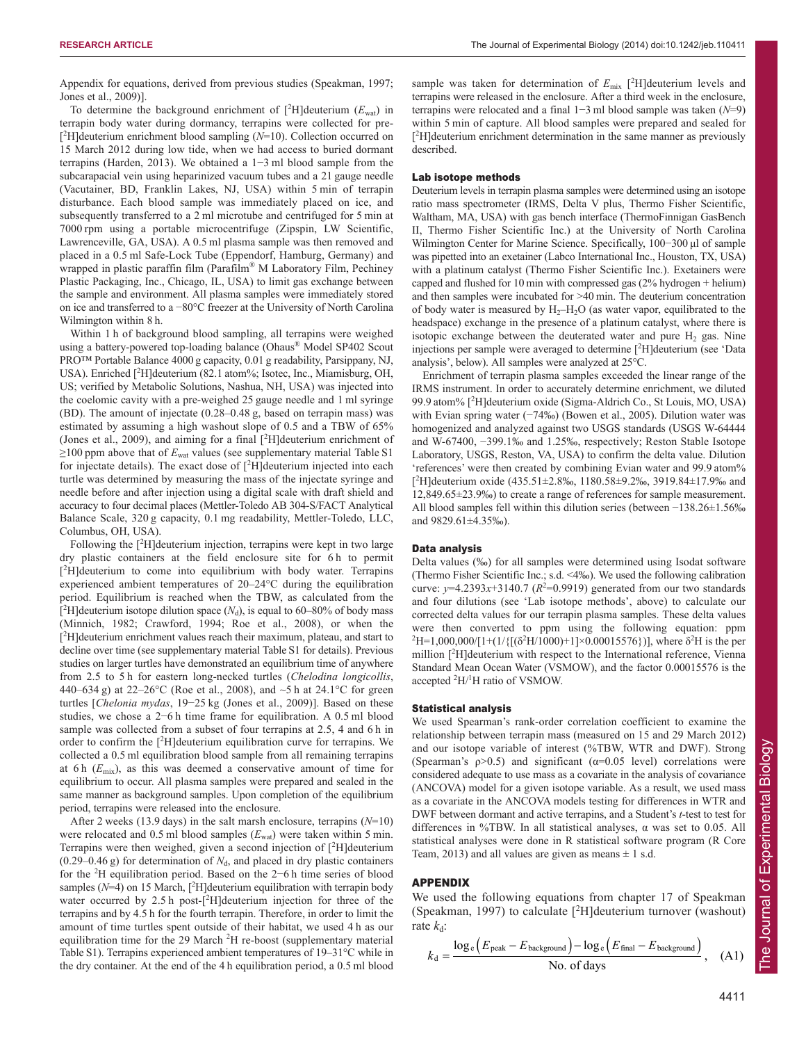Appendix for equations, derived from previous studies (Speakman, 1997; Jones et al., 2009)].

To determine the background enrichment of  $[^2H]$ deuterium  $(E_{\text{wat}})$  in terrapin body water during dormancy, terrapins were collected for pre- [<sup>2</sup>H]deuterium enrichment blood sampling (*N*=10). Collection occurred on 15 March 2012 during low tide, when we had access to buried dormant terrapins (Harden, 2013). We obtained a 1−3 ml blood sample from the subcarapacial vein using heparinized vacuum tubes and a 21 gauge needle (Vacutainer, BD, Franklin Lakes, NJ, USA) within 5 min of terrapin disturbance. Each blood sample was immediately placed on ice, and subsequently transferred to a 2 ml microtube and centrifuged for 5 min at 7000 rpm using a portable microcentrifuge (Zipspin, LW Scientific, Lawrenceville, GA, USA). A 0.5 ml plasma sample was then removed and placed in a 0.5 ml Safe-Lock Tube (Eppendorf, Hamburg, Germany) and wrapped in plastic paraffin film (Parafilm® M Laboratory Film, Pechiney Plastic Packaging, Inc., Chicago, IL, USA) to limit gas exchange between the sample and environment. All plasma samples were immediately stored on ice and transferred to a −80°C freezer at the University of North Carolina Wilmington within 8 h.

Within 1 h of background blood sampling, all terrapins were weighed using a battery-powered top-loading balance (Ohaus® Model SP402 Scout PRO™ Portable Balance 4000 g capacity, 0.01 g readability, Parsippany, NJ, USA). Enriched [<sup>2</sup>H]deuterium (82.1 atom%; Isotec, Inc., Miamisburg, OH, US; verified by Metabolic Solutions, Nashua, NH, USA) was injected into the coelomic cavity with a pre-weighed 25 gauge needle and 1 ml syringe (BD). The amount of injectate (0.28–0.48 g, based on terrapin mass) was estimated by assuming a high washout slope of 0.5 and a TBW of 65% (Jones et al., 2009), and aiming for a final [<sup>2</sup> H]deuterium enrichment of ≥100 ppm above that of *E*wat values (see supplementary material Table S1 for injectate details). The exact dose of  $[^2H]$ deuterium injected into each turtle was determined by measuring the mass of the injectate syringe and needle before and after injection using a digital scale with draft shield and accuracy to four decimal places (Mettler-Toledo AB 304-S/FACT Analytical Balance Scale, 320 g capacity, 0.1 mg readability, Mettler-Toledo, LLC, Columbus, OH, USA).

Following the [<sup>2</sup>H] deuterium injection, terrapins were kept in two large dry plastic containers at the field enclosure site for 6 h to permit [<sup>2</sup>H]deuterium to come into equilibrium with body water. Terrapins experienced ambient temperatures of 20–24°C during the equilibration period. Equilibrium is reached when the TBW, as calculated from the [<sup>2</sup>H]deuterium isotope dilution space  $(N_d)$ , is equal to 60–80% of body mass (Minnich, 1982; Crawford, 1994; Roe et al., 2008), or when the [<sup>2</sup>H]deuterium enrichment values reach their maximum, plateau, and start to decline over time (see supplementary material Table S1 for details). Previous studies on larger turtles have demonstrated an equilibrium time of anywhere from 2.5 to 5 h for eastern long-necked turtles (*Chelodina longicollis*, 440–634 g) at 22–26 °C (Roe et al., 2008), and  $\sim$ 5 h at 24.1 °C for green turtles [*Chelonia mydas*, 19−25 kg (Jones et al., 2009)]. Based on these studies, we chose a 2−6 h time frame for equilibration. A 0.5 ml blood sample was collected from a subset of four terrapins at 2.5, 4 and 6 h in order to confirm the  $[^2H]$ deuterium equilibration curve for terrapins. We collected a 0.5 ml equilibration blood sample from all remaining terrapins at 6 h (*E*mix), as this was deemed a conservative amount of time for equilibrium to occur. All plasma samples were prepared and sealed in the same manner as background samples. Upon completion of the equilibrium period, terrapins were released into the enclosure.

After 2 weeks (13.9 days) in the salt marsh enclosure, terrapins (*N*=10) were relocated and  $0.5$  ml blood samples  $(E_{wat})$  were taken within 5 min. Terrapins were then weighed, given a second injection of  $[^2H]$ deuterium (0.29–0.46 g) for determination of  $N_d$ , and placed in dry plastic containers for the <sup>2</sup> H equilibration period. Based on the 2−6 h time series of blood samples  $(N=4)$  on 15 March,  $[^{2}H]$ deuterium equilibration with terrapin body water occurred by 2.5 h post-[<sup>2</sup>H]deuterium injection for three of the terrapins and by 4.5 h for the fourth terrapin. Therefore, in order to limit the amount of time turtles spent outside of their habitat, we used 4 h as our equilibration time for the 29 March  ${}^{2}H$  re-boost (supplementary material Table S1). Terrapins experienced ambient temperatures of 19–31°C while in the dry container. At the end of the 4 h equilibration period, a 0.5 ml blood

sample was taken for determination of  $E_{\text{mix}}$  [<sup>2</sup>H] deuterium levels and terrapins were released in the enclosure. After a third week in the enclosure, terrapins were relocated and a final 1−3 ml blood sample was taken (*N*=9) within 5 min of capture. All blood samples were prepared and sealed for [<sup>2</sup>H]deuterium enrichment determination in the same manner as previously described.

## Lab isotope methods

Deuterium levels in terrapin plasma samples were determined using an isotope ratio mass spectrometer (IRMS, Delta V plus, Thermo Fisher Scientific, Waltham, MA, USA) with gas bench interface (ThermoFinnigan GasBench II, Thermo Fisher Scientific Inc.) at the University of North Carolina Wilmington Center for Marine Science. Specifically, 100−300 μl of sample was pipetted into an exetainer (Labco International Inc., Houston, TX, USA) with a platinum catalyst (Thermo Fisher Scientific Inc.). Exetainers were capped and flushed for 10 min with compressed gas (2% hydrogen + helium) and then samples were incubated for >40 min. The deuterium concentration of body water is measured by  $H_2-H_2O$  (as water vapor, equilibrated to the headspace) exchange in the presence of a platinum catalyst, where there is isotopic exchange between the deuterated water and pure  $H<sub>2</sub>$  gas. Nine injections per sample were averaged to determine [2 H]deuterium (see 'Data analysis', below). All samples were analyzed at 25°C.

Enrichment of terrapin plasma samples exceeded the linear range of the IRMS instrument. In order to accurately determine enrichment, we diluted 99.9 atom% [2 H]deuterium oxide (Sigma-Aldrich Co., St Louis, MO, USA) with Evian spring water (−74‰) (Bowen et al., 2005). Dilution water was homogenized and analyzed against two USGS standards (USGS W-64444 and W-67400, −399.1‰ and 1.25‰, respectively; Reston Stable Isotope Laboratory, USGS, Reston, VA, USA) to confirm the delta value. Dilution 'references' were then created by combining Evian water and 99.9 atom% [ 2 H]deuterium oxide (435.51±2.8‰, 1180.58±9.2‰, 3919.84±17.9‰ and 12,849.65±23.9‰) to create a range of references for sample measurement. All blood samples fell within this dilution series (between −138.26±1.56‰ and 9829.61±4.35‰).

## Data analysis

Delta values (‰) for all samples were determined using Isodat software (Thermo Fisher Scientific Inc.; s.d. <4‰). We used the following calibration curve:  $y=4.2393x+3140.7$  ( $R^2=0.9919$ ) generated from our two standards and four dilutions (see 'Lab isotope methods', above) to calculate our corrected delta values for our terrapin plasma samples. These delta values were then converted to ppm using the following equation: ppm <sup>2</sup>H=1,000,000/[1+(1/{[(δ<sup>2</sup>H/1000)+1]×0.00015576})], where δ<sup>2</sup>H is the per million [<sup>2</sup>H]deuterium with respect to the International reference, Vienna Standard Mean Ocean Water (VSMOW), and the factor 0.00015576 is the accepted <sup>2</sup>H/<sup>1</sup>H ratio of VSMOW.

## Statistical analysis

We used Spearman's rank-order correlation coefficient to examine the relationship between terrapin mass (measured on 15 and 29 March 2012) and our isotope variable of interest (%TBW, WTR and DWF). Strong (Spearman's  $\rho > 0.5$ ) and significant ( $\alpha = 0.05$  level) correlations were considered adequate to use mass as a covariate in the analysis of covariance (ANCOVA) model for a given isotope variable. As a result, we used mass as a covariate in the ANCOVA models testing for differences in WTR and DWF between dormant and active terrapins, and a Student's *t*-test to test for differences in %TBW. In all statistical analyses, α was set to 0.05. All statistical analyses were done in R statistical software program (R Core Team, 2013) and all values are given as means  $\pm$  1 s.d.

## APPENDIX

We used the following equations from chapter 17 of Speakman (Speakman, 1997) to calculate [<sup>2</sup> H]deuterium turnover (washout) rate *k*d:

$$
k_{\rm d} = \frac{\log_e \left( E_{\rm peak} - E_{\rm background} \right) - \log_e \left( E_{\rm final} - E_{\rm background} \right)}{\text{No. of days}}, \quad \text{(A1)}
$$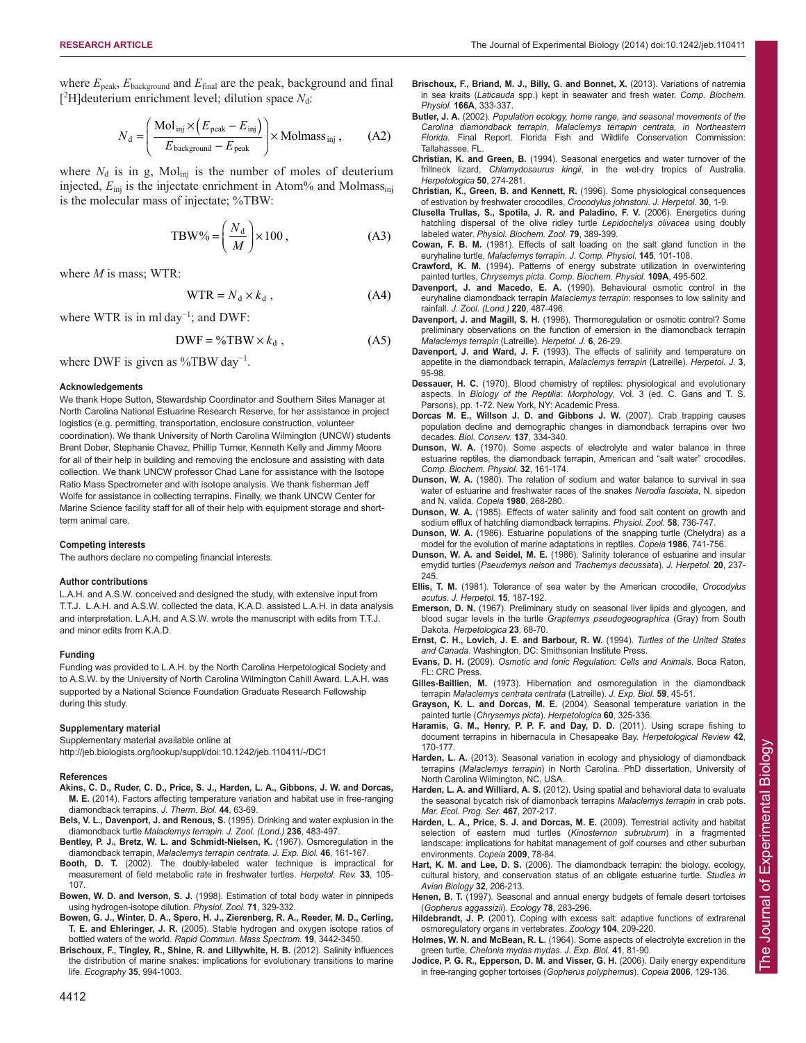where *E*peak, *E*background and *E*final are the peak, background and final [<sup>2</sup>H]deuterium enrichment level; dilution space N<sub>d</sub>:

$$
N_{\rm d} = \left(\frac{\text{Mol}_{\rm inj} \times (E_{\rm peak} - E_{\rm inj})}{E_{\rm background} - E_{\rm peak}}\right) \times \text{Molmass}_{\rm inj} ,\qquad (A2)
$$

where  $N_d$  is in g, Mol<sub>inj</sub> is the number of moles of deuterium injected,  $E_{\text{inj}}$  is the injectate enrichment in Atom% and Molmass<sub>inj</sub> is the molecular mass of injectate; %TBW:

$$
\text{TBW\%} = \left(\frac{N_d}{M}\right) \times 100\,,\tag{A3}
$$

where *M* is mass; WTR:

$$
WTR = N_d \times k_d , \qquad (A4)
$$

where WTR is in ml day<sup>-1</sup>; and DWF:

$$
DWF = \%TBW \times k_d , \qquad (A5)
$$

where DWF is given as %TBW day<sup>-1</sup>.

#### **Acknowledgements**

We thank Hope Sutton, Stewardship Coordinator and Southern Sites Manager at North Carolina National Estuarine Research Reserve, for her assistance in project logistics (e.g. permitting, transportation, enclosure construction, volunteer coordination). We thank University of North Carolina Wilmington (UNCW) students Brent Dober, Stephanie Chavez, Phillip Turner, Kenneth Kelly and Jimmy Moore for all of their help in building and removing the enclosure and assisting with data collection. We thank UNCW professor Chad Lane for assistance with the Isotope Ratio Mass Spectrometer and with isotope analysis. We thank fisherman Jeff Wolfe for assistance in collecting terrapins. Finally, we thank UNCW Center for Marine Science facility staff for all of their help with equipment storage and shortterm animal care.

#### **Competing interests**

The authors declare no competing financial interests.

#### **Author contributions**

L.A.H. and A.S.W. conceived and designed the study, with extensive input from T.T.J. L.A.H. and A.S.W. collected the data, K.A.D. assisted L.A.H. in data analysis and interpretation. L.A.H. and A.S.W. wrote the manuscript with edits from T.T.J. and minor edits from K.A.D.

#### **Funding**

Funding was provided to L.A.H. by the North Carolina Herpetological Society and to A.S.W. by the University of North Carolina Wilmington Cahill Award. L.A.H. was supported by a National Science Foundation Graduate Research Fellowship during this study.

#### **Supplementary material**

Supplementary material available online at http://jeb.biologists.org/lookup/suppl/doi:10.1242/jeb.110411/-/DC1

#### **References**

- **Akins, C. D., Ruder, C. D., Price, S. J., Harden, L. A., Gibbons, J. W. and Dorcas, M. E.** (2014). Factors affecting temperature variation and habitat use in free-ranging diamondback terrapins. *J. Therm. Biol.* **44**, 63-69.
- **Bels, V. L., Davenport, J. and Renous, S.** (1995). Drinking and water explusion in the diamondback turtle *Malaclemys terrapin*. *J. Zool. (Lond.)* **236**, 483-497.
- **Bentley, P. J., Bretz, W. L. and Schmidt-Nielsen, K.** (1967). Osmoregulation in the diamondback terrapin, *Malaclemys terrapin centrata*. *J. Exp. Biol.* **46**, 161-167.
- **Booth, D. T.** (2002). The doubly-labeled water technique is impractical for measurement of field metabolic rate in freshwater turtles. *Herpetol. Rev.* **33**, 105- 107.
- **Bowen, W. D. and Iverson, S. J.** (1998). Estimation of total body water in pinnipeds using hydrogen-isotope dilution. *Physiol. Zool.* **71**, 329-332.
- **Bowen, G. J., Winter, D. A., Spero, H. J., Zierenberg, R. A., Reeder, M. D., Cerling, T. E. and Ehleringer, J. R.** (2005). Stable hydrogen and oxygen isotope ratios of bottled waters of the world. *Rapid Commun. Mass Spectrom.* **19**, 3442-3450.
- **Brischoux, F., Tingley, R., Shine, R. and Lillywhite, H. B.** (2012). Salinity influences the distribution of marine snakes: implications for evolutionary transitions to marine life. *Ecography* **35**, 994-1003.
- **Brischoux, F., Briand, M. J., Billy, G. and Bonnet, X.** (2013). Variations of natremia in sea kraits (*Laticauda* spp.) kept in seawater and fresh water. *Comp. Biochem. Physiol.* **166A**, 333-337.
- **Butler, J. A.** (2002). *Population ecology, home range, and seasonal movements of the Carolina diamondback terrapin, Malaclemys terrapin centrata, in Northeastern Florida.* Final Report. Florida Fish and Wildlife Conservation Commission: Tallahassee, FL.
- **Christian, K. and Green, B.** (1994). Seasonal energetics and water turnover of the frillneck lizard, *Chlamydosaurus kingii*, in the wet-dry tropics of Australia. *Herpetologica* **50**, 274-281.
- **Christian, K., Green, B. and Kennett, R.** (1996). Some physiological consequences of estivation by freshwater crocodiles, *Crocodylus johnstoni*. *J. Herpetol.* **30**, 1-9.
- **Clusella Trullas, S., Spotila, J. R. and Paladino, F. V.** (2006). Energetics during hatchling dispersal of the olive ridley turtle *Lepidochelys olivacea* using doubly labeled water. *Physiol. Biochem. Zool.* **79**, 389-399.
- **Cowan, F. B. M.** (1981). Effects of salt loading on the salt gland function in the euryhaline turtle, *Malaclemys terrapin*. *J. Comp. Physiol.* **145**, 101-108.
- **Crawford, K. M.** (1994). Patterns of energy substrate utilization in overwintering painted turtles, *Chrysemys picta*. *Comp. Biochem. Physiol.* **109A**, 495-502.
- **Davenport, J. and Macedo, E. A.** (1990). Behavioural osmotic control in the euryhaline diamondback terrapin *Malaclemys terrapin*: responses to low salinity and rainfall. *J. Zool. (Lond.)* **220**, 487-496.
- **Davenport, J. and Magill, S. H.** (1996). Thermoregulation or osmotic control? Some preliminary observations on the function of emersion in the diamondback terrapin *Malaclemys terrapin* (Latreille). *Herpetol. J.* **6**, 26-29.
- **Davenport, J. and Ward, J. F.** (1993). The effects of salinity and temperature on appetite in the diamondback terrapin, *Malaclemys terrapin* (Latreille). *Herpetol. J.* **3**, 95-98.
- **Dessauer, H. C.** (1970). Blood chemistry of reptiles: physiological and evolutionary aspects. In *Biology of the Reptilia*: *Morphology*, Vol. 3 (ed. C. Gans and T. S. Parsons), pp. 1-72. New York, NY: Academic Press.
- **Dorcas M. E., Willson J. D. and Gibbons J. W.** (2007). Crab trapping causes population decline and demographic changes in diamondback terrapins over two decades. *Biol. Conserv.* **137**, 334-340.
- **Dunson, W. A.** (1970). Some aspects of electrolyte and water balance in three estuarine reptiles, the diamondback terrapin, American and "salt water" crocodiles. *Comp. Biochem. Physiol.* **32**, 161-174.
- **Dunson, W. A.** (1980). The relation of sodium and water balance to survival in sea water of estuarine and freshwater races of the snakes *Nerodia fasciata*, N. sipedon and N. valida. *Copeia* **1980**, 268-280.
- **Dunson, W. A.** (1985). Effects of water salinity and food salt content on growth and sodium efflux of hatchling diamondback terrapins. *Physiol. Zool.* **58**, 736-747.
- **Dunson, W. A.** (1986). Estuarine populations of the snapping turtle (Chelydra) as a model for the evolution of marine adaptations in reptiles. *Copeia* **1986**, 741-756.
- **Dunson, W. A. and Seidel, M. E.** (1986). Salinity tolerance of estuarine and insular emydid turtles (*Pseudemys nelson* and *Trachemys decussata*). *J. Herpetol.* **20**, 237- 245.
- **Ellis, T. M.** (1981). Tolerance of sea water by the American crocodile, *Crocodylus acutus*. *J. Herpetol.* **15**, 187-192.
- **Emerson, D. N.** (1967). Preliminary study on seasonal liver lipids and glycogen, and blood sugar levels in the turtle *Graptemys pseudogeographica* (Gray) from South Dakota. *Herpetologica* **23**, 68-70.
- **Ernst, C. H., Lovich, J. E. and Barbour, R. W.** (1994). *Turtles of the United States and Canada*. Washington, DC: Smithsonian Institute Press.
- **Evans, D. H.** (2009)*. Osmotic and Ionic Regulation: Cells and Animals*. Boca Raton, FL: CRC Press.
- **Gilles-Baillien, M.** (1973). Hibernation and osmoregulation in the diamondback terrapin *Malaclemys centrata centrata* (Latreille). *J. Exp. Biol.* **59**, 45-51.
- **Grayson, K. L. and Dorcas, M. E.** (2004). Seasonal temperature variation in the painted turtle (*Chrysemys picta*). *Herpetologica* **60**, 325-336.
- **Haramis, G. M., Henry, P. P. F. and Day, D. D.** (2011). Using scrape fishing to document terrapins in hibernacula in Chesapeake Bay. *Herpetological Review* **42**, 170-177.
- Harden, L. A. (2013). Seasonal variation in ecology and physiology of diamondback terrapins (*Malaclemys terrapin*) in North Carolina*.* PhD dissertation, University of North Carolina Wilmington, NC, USA.
- **Harden, L. A. and Williard, A. S.** (2012). Using spatial and behavioral data to evaluate the seasonal bycatch risk of diamonback terrapins *Malaclemys terrapin* in crab pots. *Mar. Ecol. Prog. Ser.* **467**, 207-217.
- **Harden, L. A., Price, S. J. and Dorcas, M. E.** (2009). Terrestrial activity and habitat selection of eastern mud turtles (*Kinosternon subrubrum*) in a fragmented landscape: implications for habitat management of golf courses and other suburban environments. *Copeia* **2009**, 78-84.
- **Hart, K. M. and Lee, D. S.** (2006). The diamondback terrapin: the biology, ecology, cultural history, and conservation status of an obligate estuarine turtle. *Studies in Avian Biology* **32**, 206-213.
- **Henen, B. T.** (1997). Seasonal and annual energy budgets of female desert tortoises (*Gopherus aggassizii*). *Ecology* **78**, 283-296.
- **Hildebrandt, J. P.** (2001). Coping with excess salt: adaptive functions of extrarenal osmoregulatory organs in vertebrates. *Zoology* **104**, 209-220.
- **Holmes, W. N. and McBean, R. L.** (1964). Some aspects of electrolyte excretion in the green turtle, *Chelonia mydas mydas*. *J. Exp. Biol.* **41**, 81-90.
- **Jodice, P. G. R., Epperson, D. M. and Visser, G. H.** (2006). Daily energy expenditure in free-ranging gopher tortoises (*Gopherus polyphemus*). *Copeia* **2006**, 129-136.